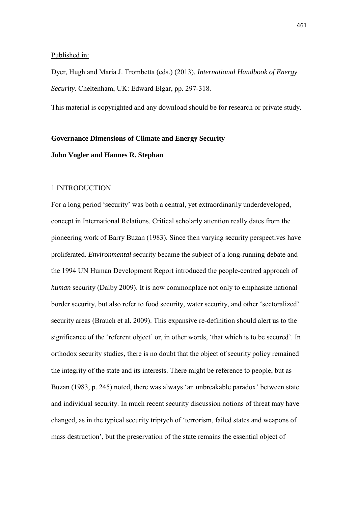## Published in:

Dyer, Hugh and Maria J. Trombetta (eds.) (2013). *International Handbook of Energy Security*. Cheltenham, UK: Edward Elgar, pp. 297-318.

This material is copyrighted and any download should be for research or private study.

#### **Governance Dimensions of Climate and Energy Security**

## **John Vogler and Hannes R. Stephan**

## 1 INTRODUCTION

For a long period 'security' was both a central, yet extraordinarily underdeveloped, concept in International Relations. Critical scholarly attention really dates from the pioneering work of Barry Buzan (1983). Since then varying security perspectives have proliferated. *Environmental* security became the subject of a long-running debate and the 1994 UN Human Development Report introduced the people-centred approach of *human* security (Dalby 2009). It is now commonplace not only to emphasize national border security, but also refer to food security, water security, and other 'sectoralized' security areas (Brauch et al. 2009). This expansive re-definition should alert us to the significance of the 'referent object' or, in other words, 'that which is to be secured'. In orthodox security studies, there is no doubt that the object of security policy remained the integrity of the state and its interests. There might be reference to people, but as Buzan (1983, p. 245) noted, there was always 'an unbreakable paradox' between state and individual security. In much recent security discussion notions of threat may have changed, as in the typical security triptych of 'terrorism, failed states and weapons of mass destruction', but the preservation of the state remains the essential object of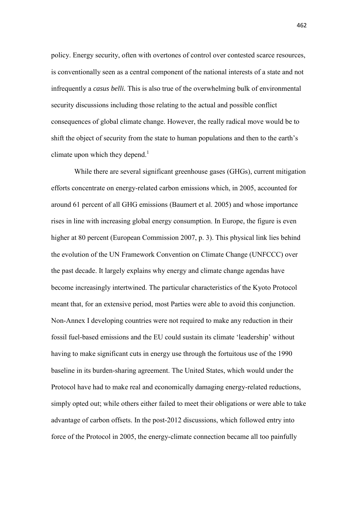policy. Energy security, often with overtones of control over contested scarce resources, is conventionally seen as a central component of the national interests of a state and not infrequently a *casus belli.* This is also true of the overwhelming bulk of environmental security discussions including those relating to the actual and possible conflict consequences of global climate change. However, the really radical move would be to shift the object of security from the state to human populations and then to the earth's climate upon which they depend.<sup>1</sup>

 While there are several significant greenhouse gases (GHGs), current mitigation efforts concentrate on energy-related carbon emissions which, in 2005, accounted for around 61 percent of all GHG emissions (Baumert et al. 2005) and whose importance rises in line with increasing global energy consumption. In Europe, the figure is even higher at 80 percent (European Commission 2007, p. 3). This physical link lies behind the evolution of the UN Framework Convention on Climate Change (UNFCCC) over the past decade. It largely explains why energy and climate change agendas have become increasingly intertwined. The particular characteristics of the Kyoto Protocol meant that, for an extensive period, most Parties were able to avoid this conjunction. Non-Annex I developing countries were not required to make any reduction in their fossil fuel-based emissions and the EU could sustain its climate 'leadership' without having to make significant cuts in energy use through the fortuitous use of the 1990 baseline in its burden-sharing agreement. The United States, which would under the Protocol have had to make real and economically damaging energy-related reductions, simply opted out; while others either failed to meet their obligations or were able to take advantage of carbon offsets. In the post-2012 discussions, which followed entry into force of the Protocol in 2005, the energy-climate connection became all too painfully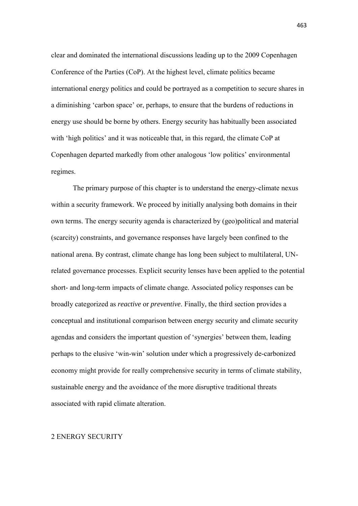clear and dominated the international discussions leading up to the 2009 Copenhagen Conference of the Parties (CoP). At the highest level, climate politics became international energy politics and could be portrayed as a competition to secure shares in a diminishing 'carbon space' or, perhaps, to ensure that the burdens of reductions in energy use should be borne by others. Energy security has habitually been associated with 'high politics' and it was noticeable that, in this regard, the climate CoP at Copenhagen departed markedly from other analogous 'low politics' environmental regimes.

The primary purpose of this chapter is to understand the energy-climate nexus within a security framework. We proceed by initially analysing both domains in their own terms. The energy security agenda is characterized by (geo)political and material (scarcity) constraints, and governance responses have largely been confined to the national arena. By contrast, climate change has long been subject to multilateral, UNrelated governance processes. Explicit security lenses have been applied to the potential short- and long-term impacts of climate change. Associated policy responses can be broadly categorized as *reactive* or *preventive*. Finally, the third section provides a conceptual and institutional comparison between energy security and climate security agendas and considers the important question of 'synergies' between them, leading perhaps to the elusive 'win-win' solution under which a progressively de-carbonized economy might provide for really comprehensive security in terms of climate stability, sustainable energy and the avoidance of the more disruptive traditional threats associated with rapid climate alteration.

#### 2 ENERGY SECURITY

463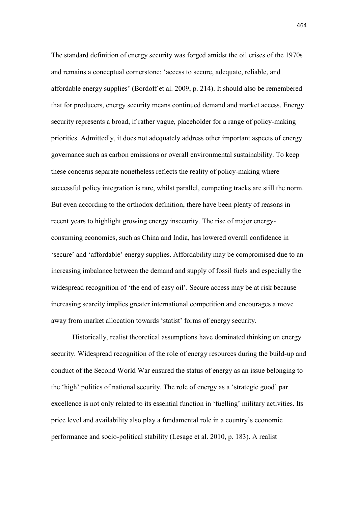The standard definition of energy security was forged amidst the oil crises of the 1970s and remains a conceptual cornerstone: 'access to secure, adequate, reliable, and affordable energy supplies' (Bordoff et al. 2009, p. 214). It should also be remembered that for producers, energy security means continued demand and market access. Energy security represents a broad, if rather vague, placeholder for a range of policy-making priorities. Admittedly, it does not adequately address other important aspects of energy governance such as carbon emissions or overall environmental sustainability. To keep these concerns separate nonetheless reflects the reality of policy-making where successful policy integration is rare, whilst parallel, competing tracks are still the norm. But even according to the orthodox definition, there have been plenty of reasons in recent years to highlight growing energy insecurity. The rise of major energyconsuming economies, such as China and India, has lowered overall confidence in 'secure' and 'affordable' energy supplies. Affordability may be compromised due to an increasing imbalance between the demand and supply of fossil fuels and especially the widespread recognition of 'the end of easy oil'. Secure access may be at risk because increasing scarcity implies greater international competition and encourages a move away from market allocation towards 'statist' forms of energy security.

 Historically, realist theoretical assumptions have dominated thinking on energy security. Widespread recognition of the role of energy resources during the build-up and conduct of the Second World War ensured the status of energy as an issue belonging to the 'high' politics of national security. The role of energy as a 'strategic good' par excellence is not only related to its essential function in 'fuelling' military activities. Its price level and availability also play a fundamental role in a country's economic performance and socio-political stability (Lesage et al. 2010, p. 183). A realist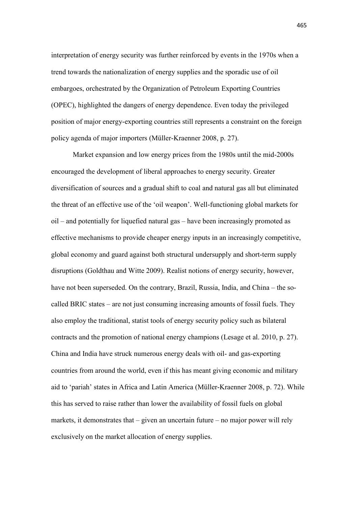interpretation of energy security was further reinforced by events in the 1970s when a trend towards the nationalization of energy supplies and the sporadic use of oil embargoes, orchestrated by the Organization of Petroleum Exporting Countries (OPEC), highlighted the dangers of energy dependence. Even today the privileged position of major energy-exporting countries still represents a constraint on the foreign policy agenda of major importers (Müller-Kraenner 2008, p. 27).

Market expansion and low energy prices from the 1980s until the mid-2000s encouraged the development of liberal approaches to energy security. Greater diversification of sources and a gradual shift to coal and natural gas all but eliminated the threat of an effective use of the 'oil weapon'. Well-functioning global markets for oil – and potentially for liquefied natural gas – have been increasingly promoted as effective mechanisms to provide cheaper energy inputs in an increasingly competitive, global economy and guard against both structural undersupply and short-term supply disruptions (Goldthau and Witte 2009). Realist notions of energy security, however, have not been superseded. On the contrary, Brazil, Russia, India, and China – the socalled BRIC states – are not just consuming increasing amounts of fossil fuels. They also employ the traditional, statist tools of energy security policy such as bilateral contracts and the promotion of national energy champions (Lesage et al. 2010, p. 27). China and India have struck numerous energy deals with oil- and gas-exporting countries from around the world, even if this has meant giving economic and military aid to 'pariah' states in Africa and Latin America (Müller-Kraenner 2008, p. 72). While this has served to raise rather than lower the availability of fossil fuels on global markets, it demonstrates that  $-\overline{$ given an uncertain future  $-\overline{}$  no major power will rely exclusively on the market allocation of energy supplies.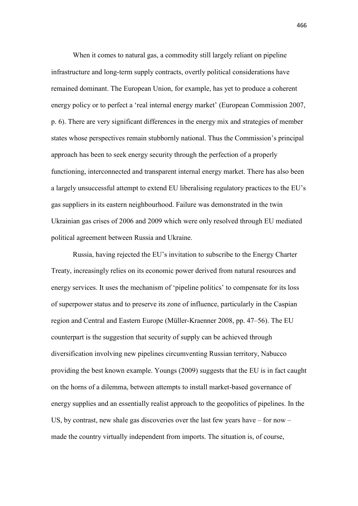When it comes to natural gas, a commodity still largely reliant on pipeline infrastructure and long-term supply contracts, overtly political considerations have remained dominant. The European Union, for example, has yet to produce a coherent energy policy or to perfect a 'real internal energy market' (European Commission 2007, p. 6). There are very significant differences in the energy mix and strategies of member states whose perspectives remain stubbornly national. Thus the Commission's principal approach has been to seek energy security through the perfection of a properly functioning, interconnected and transparent internal energy market. There has also been a largely unsuccessful attempt to extend EU liberalising regulatory practices to the EU's gas suppliers in its eastern neighbourhood. Failure was demonstrated in the twin Ukrainian gas crises of 2006 and 2009 which were only resolved through EU mediated political agreement between Russia and Ukraine.

Russia, having rejected the EU's invitation to subscribe to the Energy Charter Treaty, increasingly relies on its economic power derived from natural resources and energy services. It uses the mechanism of 'pipeline politics' to compensate for its loss of superpower status and to preserve its zone of influence, particularly in the Caspian region and Central and Eastern Europe (Müller-Kraenner 2008, pp. 47–56). The EU counterpart is the suggestion that security of supply can be achieved through diversification involving new pipelines circumventing Russian territory, Nabucco providing the best known example. Youngs (2009) suggests that the EU is in fact caught on the horns of a dilemma, between attempts to install market-based governance of energy supplies and an essentially realist approach to the geopolitics of pipelines. In the US, by contrast, new shale gas discoveries over the last few years have – for now – made the country virtually independent from imports. The situation is, of course,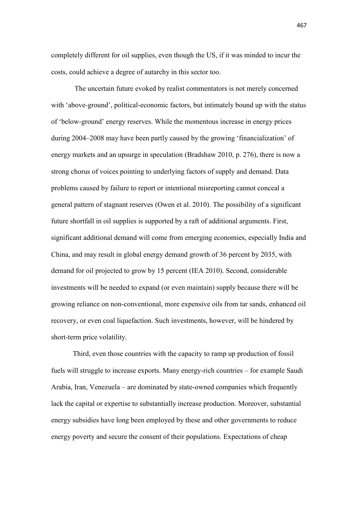completely different for oil supplies, even though the US, if it was minded to incur the costs, could achieve a degree of autarchy in this sector too.

The uncertain future evoked by realist commentators is not merely concerned with 'above-ground', political-economic factors, but intimately bound up with the status of 'below-ground' energy reserves. While the momentous increase in energy prices during 2004–2008 may have been partly caused by the growing 'financialization' of energy markets and an upsurge in speculation (Bradshaw 2010, p. 276), there is now a strong chorus of voices pointing to underlying factors of supply and demand. Data problems caused by failure to report or intentional misreporting cannot conceal a general pattern of stagnant reserves (Owen et al. 2010). The possibility of a significant future shortfall in oil supplies is supported by a raft of additional arguments. First, significant additional demand will come from emerging economies, especially India and China, and may result in global energy demand growth of 36 percent by 2035, with demand for oil projected to grow by 15 percent (IEA 2010). Second, considerable investments will be needed to expand (or even maintain) supply because there will be growing reliance on non-conventional, more expensive oils from tar sands, enhanced oil recovery, or even coal liquefaction. Such investments, however, will be hindered by short-term price volatility.

Third, even those countries with the capacity to ramp up production of fossil fuels will struggle to increase exports. Many energy-rich countries – for example Saudi Arabia, Iran, Venezuela – are dominated by state-owned companies which frequently lack the capital or expertise to substantially increase production. Moreover, substantial energy subsidies have long been employed by these and other governments to reduce energy poverty and secure the consent of their populations. Expectations of cheap

467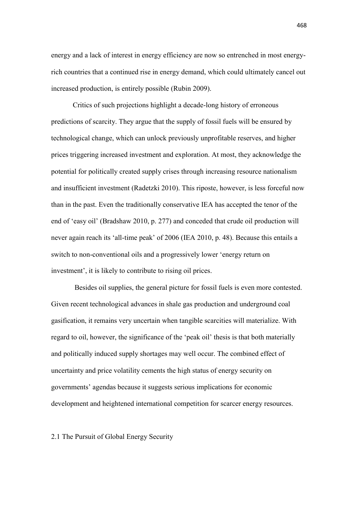energy and a lack of interest in energy efficiency are now so entrenched in most energyrich countries that a continued rise in energy demand, which could ultimately cancel out increased production, is entirely possible (Rubin 2009).

Critics of such projections highlight a decade-long history of erroneous predictions of scarcity. They argue that the supply of fossil fuels will be ensured by technological change, which can unlock previously unprofitable reserves, and higher prices triggering increased investment and exploration. At most, they acknowledge the potential for politically created supply crises through increasing resource nationalism and insufficient investment (Radetzki 2010). This riposte, however, is less forceful now than in the past. Even the traditionally conservative IEA has accepted the tenor of the end of 'easy oil' (Bradshaw 2010, p. 277) and conceded that crude oil production will never again reach its 'all-time peak' of 2006 (IEA 2010, p. 48). Because this entails a switch to non-conventional oils and a progressively lower 'energy return on investment', it is likely to contribute to rising oil prices.

Besides oil supplies, the general picture for fossil fuels is even more contested. Given recent technological advances in shale gas production and underground coal gasification, it remains very uncertain when tangible scarcities will materialize. With regard to oil, however, the significance of the 'peak oil' thesis is that both materially and politically induced supply shortages may well occur. The combined effect of uncertainty and price volatility cements the high status of energy security on governments' agendas because it suggests serious implications for economic development and heightened international competition for scarcer energy resources.

2.1 The Pursuit of Global Energy Security

468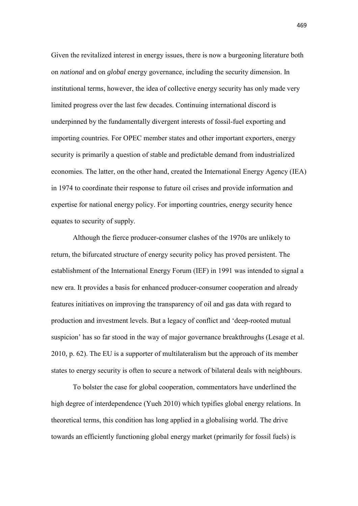Given the revitalized interest in energy issues, there is now a burgeoning literature both on *national* and on *global* energy governance, including the security dimension. In institutional terms, however, the idea of collective energy security has only made very limited progress over the last few decades. Continuing international discord is underpinned by the fundamentally divergent interests of fossil-fuel exporting and importing countries. For OPEC member states and other important exporters, energy security is primarily a question of stable and predictable demand from industrialized economies. The latter, on the other hand, created the International Energy Agency (IEA) in 1974 to coordinate their response to future oil crises and provide information and expertise for national energy policy. For importing countries, energy security hence equates to security of supply.

Although the fierce producer-consumer clashes of the 1970s are unlikely to return, the bifurcated structure of energy security policy has proved persistent. The establishment of the International Energy Forum (IEF) in 1991 was intended to signal a new era. It provides a basis for enhanced producer-consumer cooperation and already features initiatives on improving the transparency of oil and gas data with regard to production and investment levels. But a legacy of conflict and 'deep-rooted mutual suspicion' has so far stood in the way of major governance breakthroughs (Lesage et al. 2010, p. 62). The EU is a supporter of multilateralism but the approach of its member states to energy security is often to secure a network of bilateral deals with neighbours.

To bolster the case for global cooperation, commentators have underlined the high degree of interdependence (Yueh 2010) which typifies global energy relations. In theoretical terms, this condition has long applied in a globalising world. The drive towards an efficiently functioning global energy market (primarily for fossil fuels) is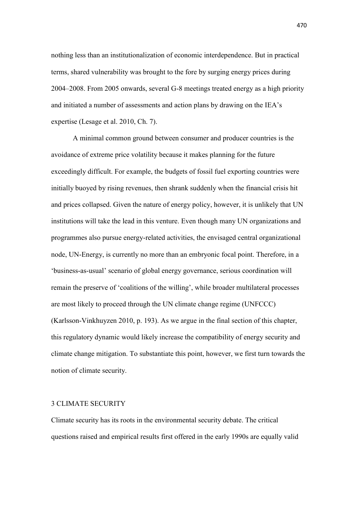nothing less than an institutionalization of economic interdependence. But in practical terms, shared vulnerability was brought to the fore by surging energy prices during 2004–2008. From 2005 onwards, several G-8 meetings treated energy as a high priority and initiated a number of assessments and action plans by drawing on the IEA's expertise (Lesage et al. 2010, Ch. 7).

A minimal common ground between consumer and producer countries is the avoidance of extreme price volatility because it makes planning for the future exceedingly difficult. For example, the budgets of fossil fuel exporting countries were initially buoyed by rising revenues, then shrank suddenly when the financial crisis hit and prices collapsed. Given the nature of energy policy, however, it is unlikely that UN institutions will take the lead in this venture. Even though many UN organizations and programmes also pursue energy-related activities, the envisaged central organizational node, UN-Energy, is currently no more than an embryonic focal point. Therefore, in a 'business-as-usual' scenario of global energy governance, serious coordination will remain the preserve of 'coalitions of the willing', while broader multilateral processes are most likely to proceed through the UN climate change regime (UNFCCC) (Karlsson-Vinkhuyzen 2010, p. 193). As we argue in the final section of this chapter, this regulatory dynamic would likely increase the compatibility of energy security and climate change mitigation. To substantiate this point, however, we first turn towards the notion of climate security.

#### 3 CLIMATE SECURITY

Climate security has its roots in the environmental security debate. The critical questions raised and empirical results first offered in the early 1990s are equally valid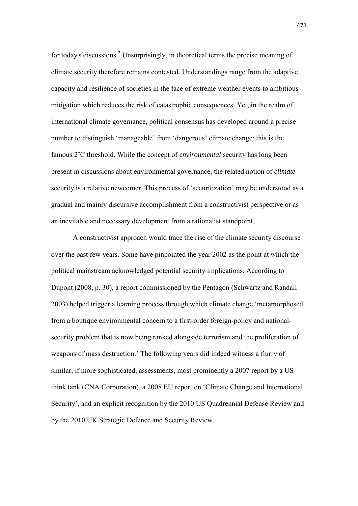for today's discussions.<sup>2</sup> Unsurprisingly, in theoretical terms the precise meaning of climate security therefore remains contested. Understandings range from the adaptive capacity and resilience of societies in the face of extreme weather events to ambitious mitigation which reduces the risk of catastrophic consequences. Yet, in the realm of international climate governance, political consensus has developed around a precise number to distinguish 'manageable' from 'dangerous' climate change: this is the famous 2˚C threshold. While the concept of *environmental* security has long been present in discussions about environmental governance, the related notion of *climate* security is a relative newcomer. This process of 'securitization' may be understood as a gradual and mainly discursive accomplishment from a constructivist perspective or as an inevitable and necessary development from a rationalist standpoint.

A constructivist approach would trace the rise of the climate security discourse over the past few years. Some have pinpointed the year 2002 as the point at which the political mainstream acknowledged potential security implications. According to Dupont (2008, p. 30), a report commissioned by the Pentagon (Schwartz and Randall 2003) helped trigger a learning process through which climate change 'metamorphosed from a boutique environmental concern to a first-order foreign-policy and nationalsecurity problem that is now being ranked alongside terrorism and the proliferation of weapons of mass destruction.' The following years did indeed witness a flurry of similar, if more sophisticated, assessments, most prominently a 2007 report by a US think tank (CNA Corporation), a 2008 EU report on 'Climate Change and International Security', and an explicit recognition by the 2010 US Quadrennial Defense Review and by the 2010 UK Strategic Defence and Security Review.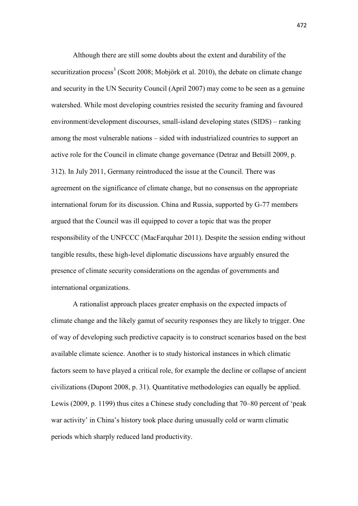Although there are still some doubts about the extent and durability of the securitization process<sup>3</sup> (Scott 2008; Mobjörk et al. 2010), the debate on climate change and security in the UN Security Council (April 2007) may come to be seen as a genuine watershed. While most developing countries resisted the security framing and favoured environment/development discourses, small-island developing states (SIDS) – ranking among the most vulnerable nations – sided with industrialized countries to support an active role for the Council in climate change governance (Detraz and Betsill 2009, p. 312). In July 2011, Germany reintroduced the issue at the Council. There was agreement on the significance of climate change, but no consensus on the appropriate international forum for its discussion. China and Russia, supported by G-77 members argued that the Council was ill equipped to cover a topic that was the proper responsibility of the UNFCCC (MacFarquhar 2011). Despite the session ending without tangible results, these high-level diplomatic discussions have arguably ensured the presence of climate security considerations on the agendas of governments and international organizations.

A rationalist approach places greater emphasis on the expected impacts of climate change and the likely gamut of security responses they are likely to trigger. One of way of developing such predictive capacity is to construct scenarios based on the best available climate science. Another is to study historical instances in which climatic factors seem to have played a critical role, for example the decline or collapse of ancient civilizations (Dupont 2008, p. 31). Quantitative methodologies can equally be applied. Lewis (2009, p. 1199) thus cites a Chinese study concluding that 70–80 percent of 'peak war activity' in China's history took place during unusually cold or warm climatic periods which sharply reduced land productivity.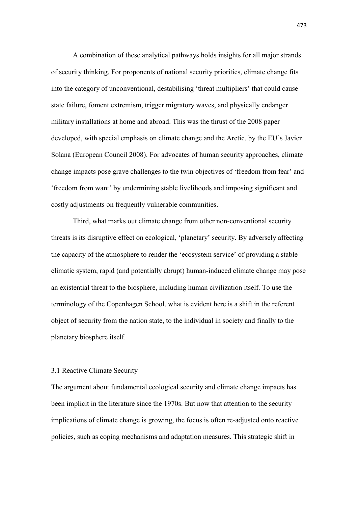A combination of these analytical pathways holds insights for all major strands of security thinking. For proponents of national security priorities, climate change fits into the category of unconventional, destabilising 'threat multipliers' that could cause state failure, foment extremism, trigger migratory waves, and physically endanger military installations at home and abroad. This was the thrust of the 2008 paper developed, with special emphasis on climate change and the Arctic, by the EU's Javier Solana (European Council 2008). For advocates of human security approaches, climate change impacts pose grave challenges to the twin objectives of 'freedom from fear' and 'freedom from want' by undermining stable livelihoods and imposing significant and costly adjustments on frequently vulnerable communities.

Third, what marks out climate change from other non-conventional security threats is its disruptive effect on ecological, 'planetary' security. By adversely affecting the capacity of the atmosphere to render the 'ecosystem service' of providing a stable climatic system, rapid (and potentially abrupt) human-induced climate change may pose an existential threat to the biosphere, including human civilization itself. To use the terminology of the Copenhagen School, what is evident here is a shift in the referent object of security from the nation state, to the individual in society and finally to the planetary biosphere itself.

## 3.1 Reactive Climate Security

The argument about fundamental ecological security and climate change impacts has been implicit in the literature since the 1970s. But now that attention to the security implications of climate change is growing, the focus is often re-adjusted onto reactive policies, such as coping mechanisms and adaptation measures. This strategic shift in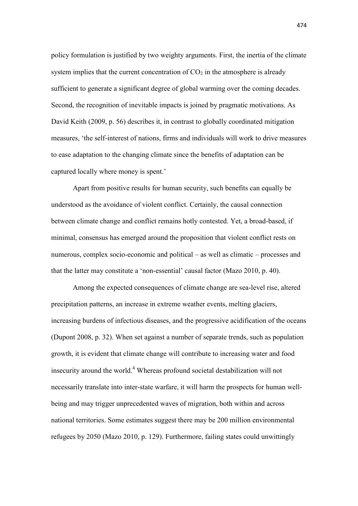policy formulation is justified by two weighty arguments. First, the inertia of the climate system implies that the current concentration of  $CO<sub>2</sub>$  in the atmosphere is already sufficient to generate a significant degree of global warming over the coming decades. Second, the recognition of inevitable impacts is joined by pragmatic motivations. As David Keith (2009, p. 56) describes it, in contrast to globally coordinated mitigation measures, 'the self-interest of nations, firms and individuals will work to drive measures to ease adaptation to the changing climate since the benefits of adaptation can be captured locally where money is spent.'

Apart from positive results for human security, such benefits can equally be understood as the avoidance of violent conflict. Certainly, the causal connection between climate change and conflict remains hotly contested. Yet, a broad-based, if minimal, consensus has emerged around the proposition that violent conflict rests on numerous, complex socio-economic and political – as well as climatic – processes and that the latter may constitute a 'non-essential' causal factor (Mazo 2010, p. 40).

Among the expected consequences of climate change are sea-level rise, altered precipitation patterns, an increase in extreme weather events, melting glaciers, increasing burdens of infectious diseases, and the progressive acidification of the oceans (Dupont 2008, p. 32). When set against a number of separate trends, such as population growth, it is evident that climate change will contribute to increasing water and food insecurity around the world.<sup>4</sup> Whereas profound societal destabilization will not necessarily translate into inter-state warfare, it will harm the prospects for human wellbeing and may trigger unprecedented waves of migration, both within and across national territories. Some estimates suggest there may be 200 million environmental refugees by 2050 (Mazo 2010, p. 129). Furthermore, failing states could unwittingly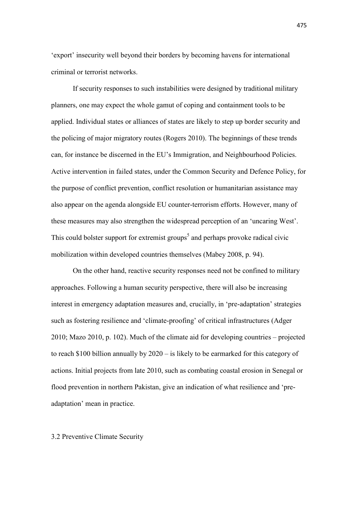'export' insecurity well beyond their borders by becoming havens for international criminal or terrorist networks.

If security responses to such instabilities were designed by traditional military planners, one may expect the whole gamut of coping and containment tools to be applied. Individual states or alliances of states are likely to step up border security and the policing of major migratory routes (Rogers 2010). The beginnings of these trends can, for instance be discerned in the EU's Immigration, and Neighbourhood Policies. Active intervention in failed states, under the Common Security and Defence Policy, for the purpose of conflict prevention, conflict resolution or humanitarian assistance may also appear on the agenda alongside EU counter-terrorism efforts. However, many of these measures may also strengthen the widespread perception of an 'uncaring West'. This could bolster support for extremist groups<sup>5</sup> and perhaps provoke radical civic mobilization within developed countries themselves (Mabey 2008, p. 94).

On the other hand, reactive security responses need not be confined to military approaches. Following a human security perspective, there will also be increasing interest in emergency adaptation measures and, crucially, in 'pre-adaptation' strategies such as fostering resilience and 'climate-proofing' of critical infrastructures (Adger 2010; Mazo 2010, p. 102). Much of the climate aid for developing countries – projected to reach \$100 billion annually by 2020 – is likely to be earmarked for this category of actions. Initial projects from late 2010, such as combating coastal erosion in Senegal or flood prevention in northern Pakistan, give an indication of what resilience and 'preadaptation' mean in practice.

## 3.2 Preventive Climate Security

475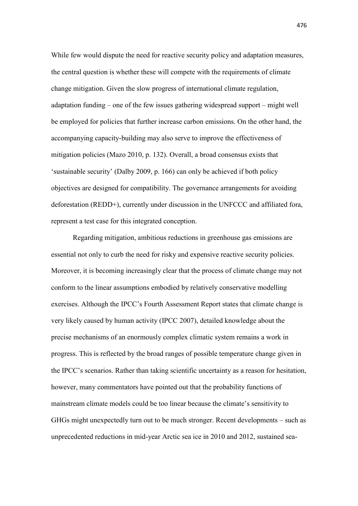While few would dispute the need for reactive security policy and adaptation measures, the central question is whether these will compete with the requirements of climate change mitigation. Given the slow progress of international climate regulation, adaptation funding – one of the few issues gathering widespread support – might well be employed for policies that further increase carbon emissions. On the other hand, the accompanying capacity-building may also serve to improve the effectiveness of mitigation policies (Mazo 2010, p. 132). Overall, a broad consensus exists that 'sustainable security' (Dalby 2009, p. 166) can only be achieved if both policy objectives are designed for compatibility. The governance arrangements for avoiding deforestation (REDD+), currently under discussion in the UNFCCC and affiliated fora, represent a test case for this integrated conception.

Regarding mitigation, ambitious reductions in greenhouse gas emissions are essential not only to curb the need for risky and expensive reactive security policies. Moreover, it is becoming increasingly clear that the process of climate change may not conform to the linear assumptions embodied by relatively conservative modelling exercises. Although the IPCC's Fourth Assessment Report states that climate change is very likely caused by human activity (IPCC 2007), detailed knowledge about the precise mechanisms of an enormously complex climatic system remains a work in progress. This is reflected by the broad ranges of possible temperature change given in the IPCC's scenarios. Rather than taking scientific uncertainty as a reason for hesitation, however, many commentators have pointed out that the probability functions of mainstream climate models could be too linear because the climate's sensitivity to GHGs might unexpectedly turn out to be much stronger. Recent developments – such as unprecedented reductions in mid-year Arctic sea ice in 2010 and 2012, sustained sea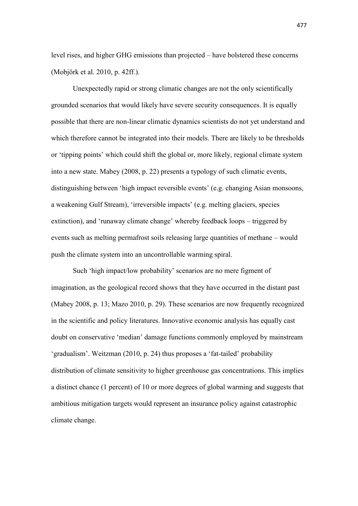level rises, and higher GHG emissions than projected – have bolstered these concerns (Mobjörk et al. 2010, p. 42ff.).

Unexpectedly rapid or strong climatic changes are not the only scientifically grounded scenarios that would likely have severe security consequences. It is equally possible that there are non-linear climatic dynamics scientists do not yet understand and which therefore cannot be integrated into their models. There are likely to be thresholds or 'tipping points' which could shift the global or, more likely, regional climate system into a new state. Mabey (2008, p. 22) presents a typology of such climatic events, distinguishing between 'high impact reversible events' (e.g. changing Asian monsoons, a weakening Gulf Stream), 'irreversible impacts' (e.g. melting glaciers, species extinction), and 'runaway climate change' whereby feedback loops – triggered by events such as melting permafrost soils releasing large quantities of methane – would push the climate system into an uncontrollable warming spiral.

Such 'high impact/low probability' scenarios are no mere figment of imagination, as the geological record shows that they have occurred in the distant past (Mabey 2008, p. 13; Mazo 2010, p. 29). These scenarios are now frequently recognized in the scientific and policy literatures. Innovative economic analysis has equally cast doubt on conservative 'median' damage functions commonly employed by mainstream 'gradualism'. Weitzman (2010, p. 24) thus proposes a 'fat-tailed' probability distribution of climate sensitivity to higher greenhouse gas concentrations. This implies a distinct chance (1 percent) of 10 or more degrees of global warming and suggests that ambitious mitigation targets would represent an insurance policy against catastrophic climate change.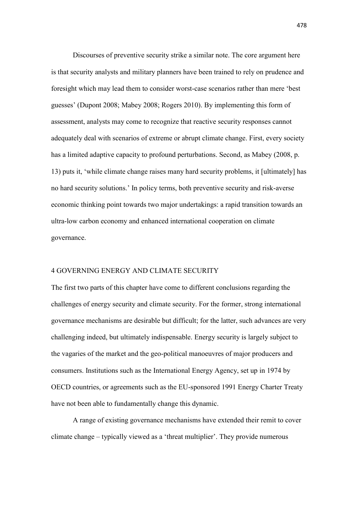Discourses of preventive security strike a similar note. The core argument here is that security analysts and military planners have been trained to rely on prudence and foresight which may lead them to consider worst-case scenarios rather than mere 'best guesses' (Dupont 2008; Mabey 2008; Rogers 2010). By implementing this form of assessment, analysts may come to recognize that reactive security responses cannot adequately deal with scenarios of extreme or abrupt climate change. First, every society has a limited adaptive capacity to profound perturbations. Second, as Mabey (2008, p. 13) puts it, 'while climate change raises many hard security problems, it [ultimately] has no hard security solutions.' In policy terms, both preventive security and risk-averse economic thinking point towards two major undertakings: a rapid transition towards an ultra-low carbon economy and enhanced international cooperation on climate governance.

#### 4 GOVERNING ENERGY AND CLIMATE SECURITY

The first two parts of this chapter have come to different conclusions regarding the challenges of energy security and climate security. For the former, strong international governance mechanisms are desirable but difficult; for the latter, such advances are very challenging indeed, but ultimately indispensable. Energy security is largely subject to the vagaries of the market and the geo-political manoeuvres of major producers and consumers. Institutions such as the International Energy Agency, set up in 1974 by OECD countries, or agreements such as the EU-sponsored 1991 Energy Charter Treaty have not been able to fundamentally change this dynamic.

A range of existing governance mechanisms have extended their remit to cover climate change – typically viewed as a 'threat multiplier'. They provide numerous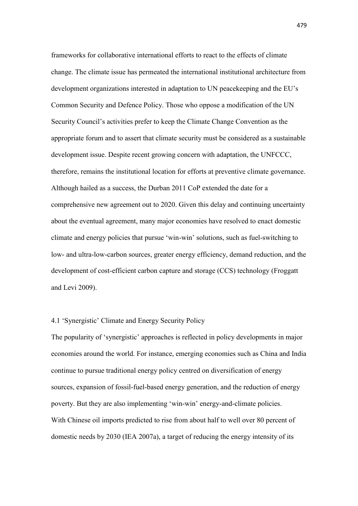frameworks for collaborative international efforts to react to the effects of climate change. The climate issue has permeated the international institutional architecture from development organizations interested in adaptation to UN peacekeeping and the EU's Common Security and Defence Policy. Those who oppose a modification of the UN Security Council's activities prefer to keep the Climate Change Convention as the appropriate forum and to assert that climate security must be considered as a sustainable development issue. Despite recent growing concern with adaptation, the UNFCCC, therefore, remains the institutional location for efforts at preventive climate governance. Although hailed as a success, the Durban 2011 CoP extended the date for a comprehensive new agreement out to 2020. Given this delay and continuing uncertainty about the eventual agreement, many major economies have resolved to enact domestic climate and energy policies that pursue 'win-win' solutions, such as fuel-switching to low- and ultra-low-carbon sources, greater energy efficiency, demand reduction, and the development of cost-efficient carbon capture and storage (CCS) technology (Froggatt and Levi 2009).

# 4.1 'Synergistic' Climate and Energy Security Policy

The popularity of 'synergistic' approaches is reflected in policy developments in major economies around the world. For instance, emerging economies such as China and India continue to pursue traditional energy policy centred on diversification of energy sources, expansion of fossil-fuel-based energy generation, and the reduction of energy poverty. But they are also implementing 'win-win' energy-and-climate policies. With Chinese oil imports predicted to rise from about half to well over 80 percent of domestic needs by 2030 (IEA 2007a), a target of reducing the energy intensity of its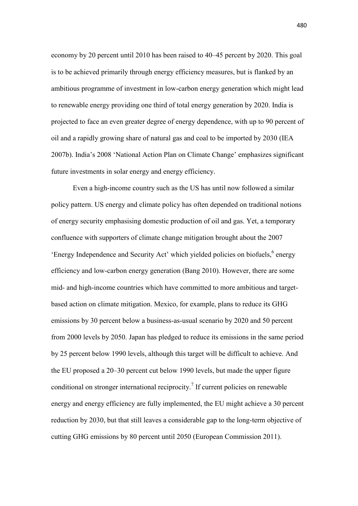economy by 20 percent until 2010 has been raised to 40–45 percent by 2020. This goal is to be achieved primarily through energy efficiency measures, but is flanked by an ambitious programme of investment in low-carbon energy generation which might lead to renewable energy providing one third of total energy generation by 2020. India is projected to face an even greater degree of energy dependence, with up to 90 percent of oil and a rapidly growing share of natural gas and coal to be imported by 2030 (IEA 2007b). India's 2008 'National Action Plan on Climate Change' emphasizes significant future investments in solar energy and energy efficiency.

Even a high-income country such as the US has until now followed a similar policy pattern. US energy and climate policy has often depended on traditional notions of energy security emphasising domestic production of oil and gas. Yet, a temporary confluence with supporters of climate change mitigation brought about the 2007 'Energy Independence and Security Act' which yielded policies on biofuels,<sup>6</sup> energy efficiency and low-carbon energy generation (Bang 2010). However, there are some mid- and high-income countries which have committed to more ambitious and targetbased action on climate mitigation. Mexico, for example, plans to reduce its GHG emissions by 30 percent below a business-as-usual scenario by 2020 and 50 percent from 2000 levels by 2050. Japan has pledged to reduce its emissions in the same period by 25 percent below 1990 levels, although this target will be difficult to achieve. And the EU proposed a 20–30 percent cut below 1990 levels, but made the upper figure conditional on stronger international reciprocity.<sup>7</sup> If current policies on renewable energy and energy efficiency are fully implemented, the EU might achieve a 30 percent reduction by 2030, but that still leaves a considerable gap to the long-term objective of cutting GHG emissions by 80 percent until 2050 (European Commission 2011).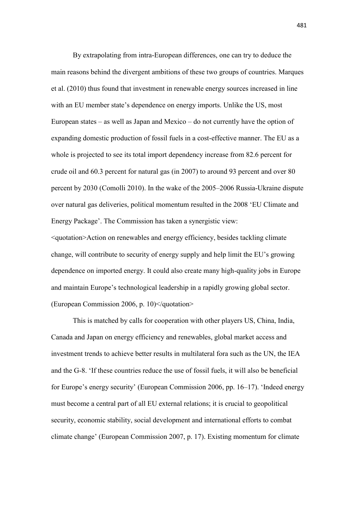By extrapolating from intra-European differences, one can try to deduce the main reasons behind the divergent ambitions of these two groups of countries. Marques et al. (2010) thus found that investment in renewable energy sources increased in line with an EU member state's dependence on energy imports. Unlike the US, most European states – as well as Japan and Mexico – do not currently have the option of expanding domestic production of fossil fuels in a cost-effective manner. The EU as a whole is projected to see its total import dependency increase from 82.6 percent for crude oil and 60.3 percent for natural gas (in 2007) to around 93 percent and over 80 percent by 2030 (Comolli 2010). In the wake of the 2005–2006 Russia-Ukraine dispute over natural gas deliveries, political momentum resulted in the 2008 'EU Climate and Energy Package'. The Commission has taken a synergistic view:

<quotation>Action on renewables and energy efficiency, besides tackling climate change, will contribute to security of energy supply and help limit the EU's growing dependence on imported energy. It could also create many high-quality jobs in Europe and maintain Europe's technological leadership in a rapidly growing global sector. (European Commission 2006, p. 10)</quotation>

This is matched by calls for cooperation with other players US, China, India, Canada and Japan on energy efficiency and renewables, global market access and investment trends to achieve better results in multilateral fora such as the UN, the IEA and the G-8. 'If these countries reduce the use of fossil fuels, it will also be beneficial for Europe's energy security' (European Commission 2006, pp. 16–17). 'Indeed energy must become a central part of all EU external relations; it is crucial to geopolitical security, economic stability, social development and international efforts to combat climate change' (European Commission 2007, p. 17). Existing momentum for climate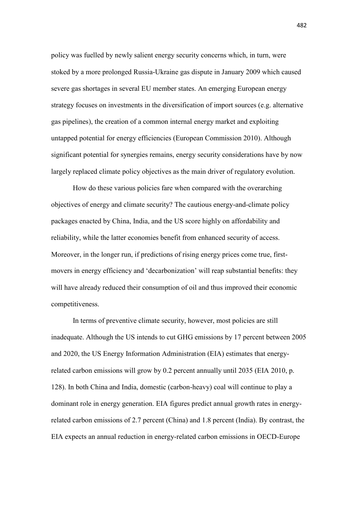policy was fuelled by newly salient energy security concerns which, in turn, were stoked by a more prolonged Russia-Ukraine gas dispute in January 2009 which caused severe gas shortages in several EU member states. An emerging European energy strategy focuses on investments in the diversification of import sources (e.g. alternative gas pipelines), the creation of a common internal energy market and exploiting untapped potential for energy efficiencies (European Commission 2010). Although significant potential for synergies remains, energy security considerations have by now largely replaced climate policy objectives as the main driver of regulatory evolution.

How do these various policies fare when compared with the overarching objectives of energy and climate security? The cautious energy-and-climate policy packages enacted by China, India, and the US score highly on affordability and reliability, while the latter economies benefit from enhanced security of access. Moreover, in the longer run, if predictions of rising energy prices come true, firstmovers in energy efficiency and 'decarbonization' will reap substantial benefits: they will have already reduced their consumption of oil and thus improved their economic competitiveness.

In terms of preventive climate security, however, most policies are still inadequate. Although the US intends to cut GHG emissions by 17 percent between 2005 and 2020, the US Energy Information Administration (EIA) estimates that energyrelated carbon emissions will grow by 0.2 percent annually until 2035 (EIA 2010, p. 128). In both China and India, domestic (carbon-heavy) coal will continue to play a dominant role in energy generation. EIA figures predict annual growth rates in energyrelated carbon emissions of 2.7 percent (China) and 1.8 percent (India). By contrast, the EIA expects an annual reduction in energy-related carbon emissions in OECD-Europe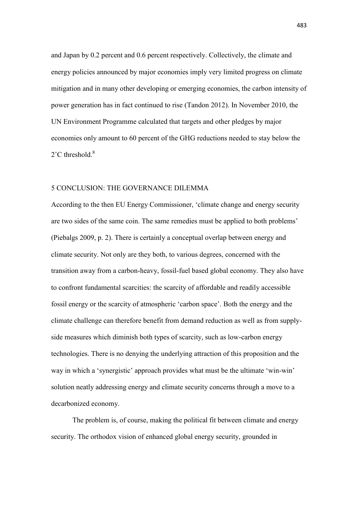and Japan by 0.2 percent and 0.6 percent respectively. Collectively, the climate and energy policies announced by major economies imply very limited progress on climate mitigation and in many other developing or emerging economies, the carbon intensity of power generation has in fact continued to rise (Tandon 2012). In November 2010, the UN Environment Programme calculated that targets and other pledges by major economies only amount to 60 percent of the GHG reductions needed to stay below the  $2^{\circ}$ C threshold.<sup>8</sup>

## 5 CONCLUSION: THE GOVERNANCE DILEMMA

According to the then EU Energy Commissioner, 'climate change and energy security are two sides of the same coin. The same remedies must be applied to both problems' (Piebalgs 2009, p. 2). There is certainly a conceptual overlap between energy and climate security. Not only are they both, to various degrees, concerned with the transition away from a carbon-heavy, fossil-fuel based global economy. They also have to confront fundamental scarcities: the scarcity of affordable and readily accessible fossil energy or the scarcity of atmospheric 'carbon space'. Both the energy and the climate challenge can therefore benefit from demand reduction as well as from supplyside measures which diminish both types of scarcity, such as low-carbon energy technologies. There is no denying the underlying attraction of this proposition and the way in which a 'synergistic' approach provides what must be the ultimate 'win-win' solution neatly addressing energy and climate security concerns through a move to a decarbonized economy.

 The problem is, of course, making the political fit between climate and energy security. The orthodox vision of enhanced global energy security, grounded in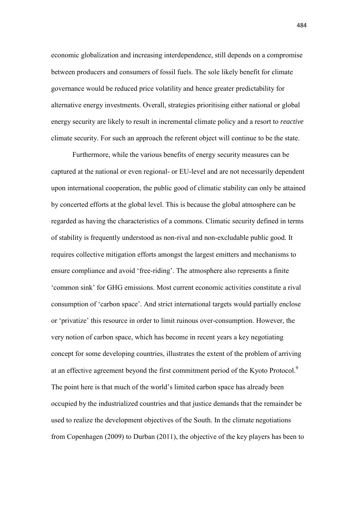economic globalization and increasing interdependence, still depends on a compromise between producers and consumers of fossil fuels. The sole likely benefit for climate governance would be reduced price volatility and hence greater predictability for alternative energy investments. Overall, strategies prioritising either national or global energy security are likely to result in incremental climate policy and a resort to *reactive* climate security. For such an approach the referent object will continue to be the state.

 Furthermore, while the various benefits of energy security measures can be captured at the national or even regional- or EU-level and are not necessarily dependent upon international cooperation, the public good of climatic stability can only be attained by concerted efforts at the global level. This is because the global atmosphere can be regarded as having the characteristics of a commons. Climatic security defined in terms of stability is frequently understood as non-rival and non-excludable public good. It requires collective mitigation efforts amongst the largest emitters and mechanisms to ensure compliance and avoid 'free-riding'. The atmosphere also represents a finite 'common sink' for GHG emissions. Most current economic activities constitute a rival consumption of 'carbon space'. And strict international targets would partially enclose or 'privatize' this resource in order to limit ruinous over-consumption. However, the very notion of carbon space, which has become in recent years a key negotiating concept for some developing countries, illustrates the extent of the problem of arriving at an effective agreement beyond the first commitment period of the Kyoto Protocol.<sup>9</sup> The point here is that much of the world's limited carbon space has already been occupied by the industrialized countries and that justice demands that the remainder be used to realize the development objectives of the South. In the climate negotiations from Copenhagen (2009) to Durban (2011), the objective of the key players has been to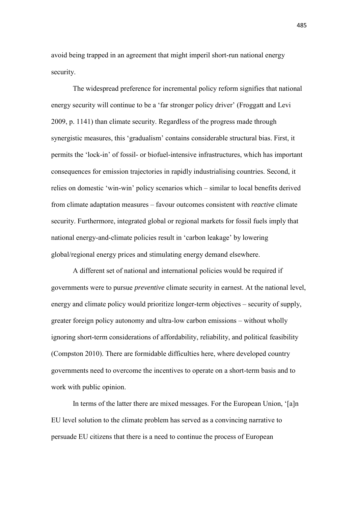avoid being trapped in an agreement that might imperil short-run national energy security.

The widespread preference for incremental policy reform signifies that national energy security will continue to be a 'far stronger policy driver' (Froggatt and Levi 2009, p. 1141) than climate security. Regardless of the progress made through synergistic measures, this 'gradualism' contains considerable structural bias. First, it permits the 'lock-in' of fossil- or biofuel-intensive infrastructures, which has important consequences for emission trajectories in rapidly industrialising countries. Second, it relies on domestic 'win-win' policy scenarios which – similar to local benefits derived from climate adaptation measures – favour outcomes consistent with *reactive* climate security. Furthermore, integrated global or regional markets for fossil fuels imply that national energy-and-climate policies result in 'carbon leakage' by lowering global/regional energy prices and stimulating energy demand elsewhere.

A different set of national and international policies would be required if governments were to pursue *preventive* climate security in earnest. At the national level, energy and climate policy would prioritize longer-term objectives – security of supply, greater foreign policy autonomy and ultra-low carbon emissions – without wholly ignoring short-term considerations of affordability, reliability, and political feasibility (Compston 2010). There are formidable difficulties here, where developed country governments need to overcome the incentives to operate on a short-term basis and to work with public opinion.

In terms of the latter there are mixed messages. For the European Union, '[a]n EU level solution to the climate problem has served as a convincing narrative to persuade EU citizens that there is a need to continue the process of European

485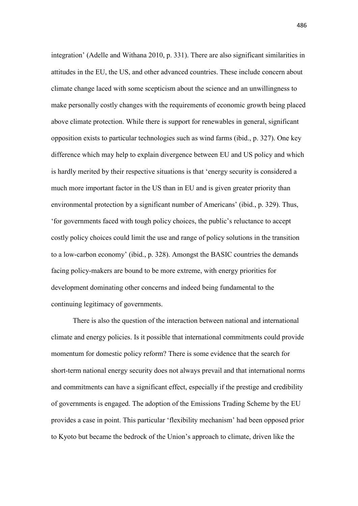integration' (Adelle and Withana 2010, p. 331). There are also significant similarities in attitudes in the EU, the US, and other advanced countries. These include concern about climate change laced with some scepticism about the science and an unwillingness to make personally costly changes with the requirements of economic growth being placed above climate protection. While there is support for renewables in general, significant opposition exists to particular technologies such as wind farms (ibid., p. 327). One key difference which may help to explain divergence between EU and US policy and which is hardly merited by their respective situations is that 'energy security is considered a much more important factor in the US than in EU and is given greater priority than environmental protection by a significant number of Americans' (ibid., p. 329). Thus, 'for governments faced with tough policy choices, the public's reluctance to accept costly policy choices could limit the use and range of policy solutions in the transition to a low-carbon economy' (ibid., p. 328). Amongst the BASIC countries the demands facing policy-makers are bound to be more extreme, with energy priorities for development dominating other concerns and indeed being fundamental to the continuing legitimacy of governments.

There is also the question of the interaction between national and international climate and energy policies. Is it possible that international commitments could provide momentum for domestic policy reform? There is some evidence that the search for short-term national energy security does not always prevail and that international norms and commitments can have a significant effect, especially if the prestige and credibility of governments is engaged. The adoption of the Emissions Trading Scheme by the EU provides a case in point. This particular 'flexibility mechanism' had been opposed prior to Kyoto but became the bedrock of the Union's approach to climate, driven like the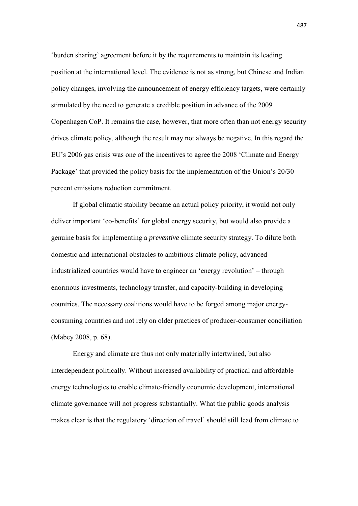'burden sharing' agreement before it by the requirements to maintain its leading position at the international level. The evidence is not as strong, but Chinese and Indian policy changes, involving the announcement of energy efficiency targets, were certainly stimulated by the need to generate a credible position in advance of the 2009 Copenhagen CoP. It remains the case, however, that more often than not energy security drives climate policy, although the result may not always be negative. In this regard the EU's 2006 gas crisis was one of the incentives to agree the 2008 'Climate and Energy Package' that provided the policy basis for the implementation of the Union's 20/30 percent emissions reduction commitment.

If global climatic stability became an actual policy priority, it would not only deliver important 'co-benefits' for global energy security, but would also provide a genuine basis for implementing a *preventive* climate security strategy. To dilute both domestic and international obstacles to ambitious climate policy, advanced industrialized countries would have to engineer an 'energy revolution' – through enormous investments, technology transfer, and capacity-building in developing countries. The necessary coalitions would have to be forged among major energyconsuming countries and not rely on older practices of producer-consumer conciliation (Mabey 2008, p. 68).

Energy and climate are thus not only materially intertwined, but also interdependent politically. Without increased availability of practical and affordable energy technologies to enable climate-friendly economic development, international climate governance will not progress substantially. What the public goods analysis makes clear is that the regulatory 'direction of travel' should still lead from climate to

487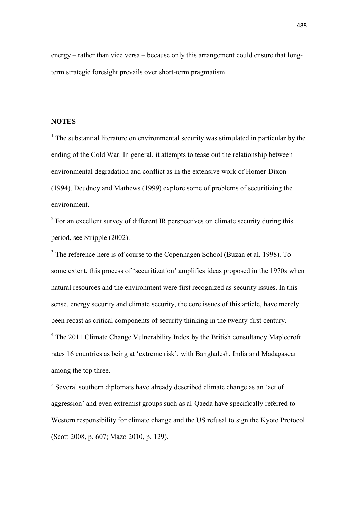energy – rather than vice versa – because only this arrangement could ensure that longterm strategic foresight prevails over short-term pragmatism.

## **NOTES**

<sup>1</sup> The substantial literature on environmental security was stimulated in particular by the ending of the Cold War. In general, it attempts to tease out the relationship between environmental degradation and conflict as in the extensive work of Homer-Dixon (1994). Deudney and Mathews (1999) explore some of problems of securitizing the environment.

 $2^2$  For an excellent survey of different IR perspectives on climate security during this period, see Stripple (2002).

<sup>3</sup> The reference here is of course to the Copenhagen School (Buzan et al. 1998). To some extent, this process of 'securitization' amplifies ideas proposed in the 1970s when natural resources and the environment were first recognized as security issues. In this sense, energy security and climate security, the core issues of this article, have merely been recast as critical components of security thinking in the twenty-first century.

<sup>4</sup> The 2011 Climate Change Vulnerability Index by the British consultancy Maplecroft rates 16 countries as being at 'extreme risk', with Bangladesh, India and Madagascar among the top three.

<sup>5</sup> Several southern diplomats have already described climate change as an 'act of aggression' and even extremist groups such as al-Qaeda have specifically referred to Western responsibility for climate change and the US refusal to sign the Kyoto Protocol (Scott 2008, p. 607; Mazo 2010, p. 129).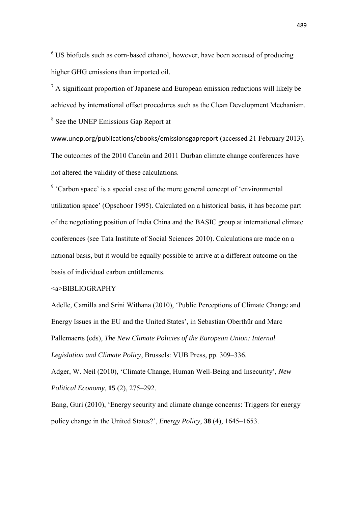$6$  US biofuels such as corn-based ethanol, however, have been accused of producing higher GHG emissions than imported oil.

 $<sup>7</sup>$  A significant proportion of Japanese and European emission reductions will likely be</sup> achieved by international offset procedures such as the Clean Development Mechanism. 8 See the UNEP Emissions Gap Report at

www.unep.org/publications/ebooks/emissionsgapreport (accessed 21 February 2013). The outcomes of the 2010 Cancún and 2011 Durban climate change conferences have not altered the validity of these calculations.

<sup>9</sup> 'Carbon space' is a special case of the more general concept of 'environmental utilization space' (Opschoor 1995). Calculated on a historical basis, it has become part of the negotiating position of India China and the BASIC group at international climate conferences (see Tata Institute of Social Sciences 2010). Calculations are made on a national basis, but it would be equally possible to arrive at a different outcome on the basis of individual carbon entitlements.

## <a>BIBLIOGRAPHY

Adelle, Camilla and Srini Withana (2010), 'Public Perceptions of Climate Change and Energy Issues in the EU and the United States', in Sebastian Oberthür and Marc Pallemaerts (eds), *The New Climate Policies of the European Union: Internal Legislation and Climate Policy*, Brussels: VUB Press, pp. 309–336.

Adger, W. Neil (2010), 'Climate Change, Human Well-Being and Insecurity', *New Political Economy*, **15** (2), 275–292.

Bang, Guri (2010), 'Energy security and climate change concerns: Triggers for energy policy change in the United States?', *Energy Policy*, **38** (4), 1645–1653.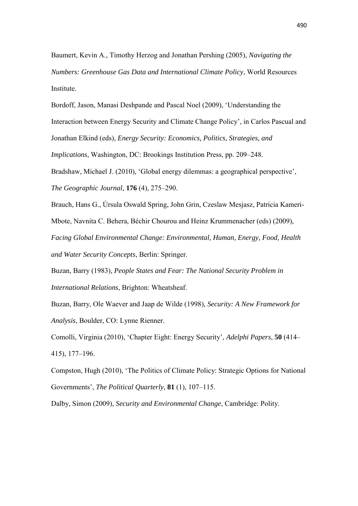Baumert, Kevin A., Timothy Herzog and Jonathan Pershing (2005), *Navigating the Numbers: Greenhouse Gas Data and International Climate Policy*, World Resources Institute.

Bordoff, Jason, Manasi Deshpande and Pascal Noel (2009), 'Understanding the Interaction between Energy Security and Climate Change Policy', in Carlos Pascual and Jonathan Elkind (eds), *Energy Security: Economics, Politics, Strategies, and Implications*, Washington, DC: Brookings Institution Press, pp. 209–248. Bradshaw, Michael J. (2010), 'Global energy dilemmas: a geographical perspective', *The Geographic Journal*, **176** (4), 275–290.

Brauch, Hans G., Úrsula Oswald Spring, John Grin, Czeslaw Mesjasz, Patricia Kameri-Mbote, Navnita C. Behera, Béchir Chourou and Heinz Krummenacher (eds) (2009),

*Facing Global Environmental Change: Environmental, Human, Energy, Food, Health and Water Security Concepts*, Berlin: Springer.

Buzan, Barry (1983), *People States and Fear: The National Security Problem in International Relations*, Brighton: Wheatsheaf.

Buzan, Barry, Ole Waever and Jaap de Wilde (1998), *Security: A New Framework for Analysis*, Boulder, CO: Lynne Rienner.

Comolli, Virginia (2010), 'Chapter Eight: Energy Security', *Adelphi Papers*, **50** (414– 415), 177–196.

Compston, Hugh (2010), 'The Politics of Climate Policy: Strategic Options for National Governments', *The Political Quarterly*, **81** (1), 107–115.

Dalby, Simon (2009), *Security and Environmental Change*, Cambridge: Polity.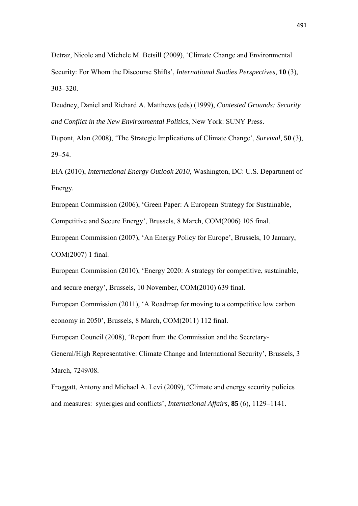Detraz, Nicole and Michele M. Betsill (2009), 'Climate Change and Environmental Security: For Whom the Discourse Shifts', *International Studies Perspectives*, **10** (3), 303–320.

Deudney, Daniel and Richard A. Matthews (eds) (1999), *Contested Grounds: Security and Conflict in the New Environmental Politics*, New York: SUNY Press.

Dupont, Alan (2008), 'The Strategic Implications of Climate Change', *Survival*, **50** (3), 29–54.

EIA (2010), *International Energy Outlook 2010*, Washington, DC: U.S. Department of Energy.

European Commission (2006), 'Green Paper: A European Strategy for Sustainable, Competitive and Secure Energy', Brussels, 8 March, COM(2006) 105 final.

European Commission (2007), 'An Energy Policy for Europe', Brussels, 10 January, COM(2007) 1 final.

European Commission (2010), 'Energy 2020: A strategy for competitive, sustainable, and secure energy', Brussels, 10 November, COM(2010) 639 final.

European Commission (2011), 'A Roadmap for moving to a competitive low carbon economy in 2050', Brussels, 8 March, COM(2011) 112 final.

European Council (2008), 'Report from the Commission and the Secretary-

General/High Representative: Climate Change and International Security', Brussels, 3 March, 7249/08.

Froggatt, Antony and Michael A. Levi (2009), 'Climate and energy security policies and measures: synergies and conflicts', *International Affairs*, **85** (6), 1129–1141.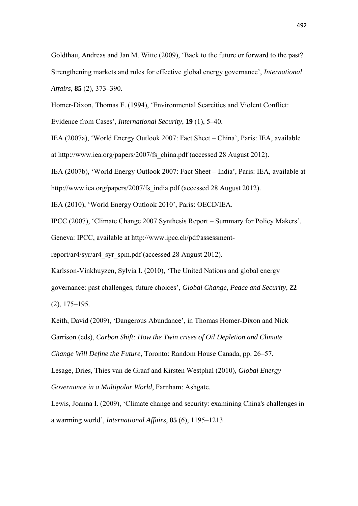Goldthau, Andreas and Jan M. Witte (2009), 'Back to the future or forward to the past? Strengthening markets and rules for effective global energy governance', *International Affairs*, **85** (2), 373–390.

Homer-Dixon, Thomas F. (1994), 'Environmental Scarcities and Violent Conflict: Evidence from Cases', *International Security*, **19** (1), 5–40.

IEA (2007a), 'World Energy Outlook 2007: Fact Sheet – China', Paris: IEA, available at http://www.iea.org/papers/2007/fs\_china.pdf (accessed 28 August 2012).

IEA (2007b), 'World Energy Outlook 2007: Fact Sheet – India', Paris: IEA, available at

http://www.iea.org/papers/2007/fs india.pdf (accessed 28 August 2012).

IEA (2010), 'World Energy Outlook 2010', Paris: OECD/IEA.

IPCC (2007), 'Climate Change 2007 Synthesis Report – Summary for Policy Makers',

Geneva: IPCC, available at http://www.ipcc.ch/pdf/assessment-

report/ar4/syr/ar4\_syr\_spm.pdf (accessed 28 August 2012).

Karlsson-Vinkhuyzen, Sylvia I. (2010), 'The United Nations and global energy

governance: past challenges, future choices', *Global Change, Peace and Security*, **22** (2), 175–195.

Keith, David (2009), 'Dangerous Abundance', in Thomas Homer-Dixon and Nick Garrison (eds), *Carbon Shift: How the Twin crises of Oil Depletion and Climate Change Will Define the Future*, Toronto: Random House Canada, pp. 26–57.

Lesage, Dries, Thies van de Graaf and Kirsten Westphal (2010), *Global Energy Governance in a Multipolar World*, Farnham: Ashgate.

Lewis, Joanna I. (2009), 'Climate change and security: examining China's challenges in a warming world', *International Affairs*, **85** (6), 1195–1213.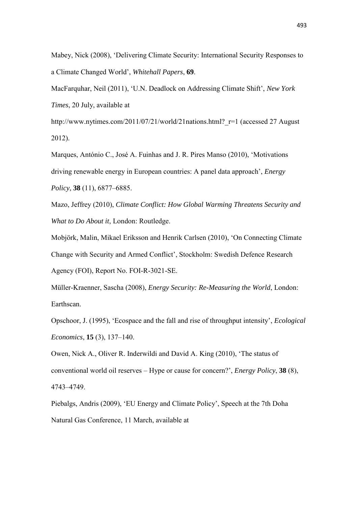Mabey, Nick (2008), 'Delivering Climate Security: International Security Responses to a Climate Changed World', *Whitehall Papers*, **69**.

MacFarquhar, Neil (2011), 'U.N. Deadlock on Addressing Climate Shift', *New York Times*, 20 July, available at

http://www.nytimes.com/2011/07/21/world/21nations.html? r=1 (accessed 27 August 2012).

Marques, António C., José A. Fuinhas and J. R. Pires Manso (2010), 'Motivations driving renewable energy in European countries: A panel data approach', *Energy Policy*, **38** (11), 6877–6885.

Mazo, Jeffrey (2010), *Climate Conflict: How Global Warming Threatens Security and What to Do About it*, London: Routledge.

Mobjörk, Malin, Mikael Eriksson and Henrik Carlsen (2010), 'On Connecting Climate Change with Security and Armed Conflict', Stockholm: Swedish Defence Research Agency (FOI), Report No. FOI-R-3021-SE.

Müller-Kraenner, Sascha (2008), *Energy Security: Re-Measuring the World*, London: Earthscan.

Opschoor, J. (1995), 'Ecospace and the fall and rise of throughput intensity', *Ecological Economics*, **15** (3), 137–140.

Owen, Nick A., Oliver R. Inderwildi and David A. King (2010), 'The status of conventional world oil reserves – Hype or cause for concern?', *Energy Policy*, **38** (8), 4743–4749.

Piebalgs, Andris (2009), 'EU Energy and Climate Policy', Speech at the 7th Doha Natural Gas Conference, 11 March, available at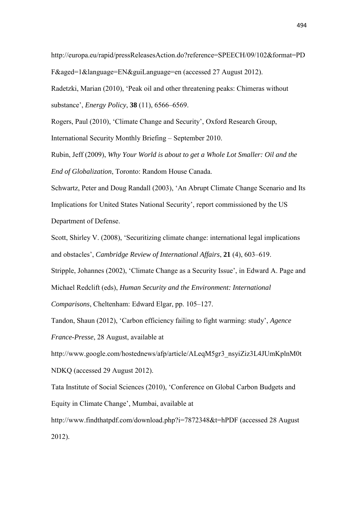http://europa.eu/rapid/pressReleasesAction.do?reference=SPEECH/09/102&format=PD F&aged=1&language=EN&guiLanguage=en (accessed 27 August 2012).

Radetzki, Marian (2010), 'Peak oil and other threatening peaks: Chimeras without substance', *Energy Policy*, **38** (11), 6566–6569.

Rogers, Paul (2010), 'Climate Change and Security', Oxford Research Group, International Security Monthly Briefing – September 2010.

Rubin, Jeff (2009), *Why Your World is about to get a Whole Lot Smaller: Oil and the End of Globalization*, Toronto: Random House Canada.

Schwartz, Peter and Doug Randall (2003), 'An Abrupt Climate Change Scenario and Its Implications for United States National Security', report commissioned by the US Department of Defense.

Scott, Shirley V. (2008), 'Securitizing climate change: international legal implications and obstacles', *Cambridge Review of International Affairs*, **21** (4), 603–619.

Stripple, Johannes (2002), 'Climate Change as a Security Issue', in Edward A. Page and Michael Redclift (eds), *Human Security and the Environment: International* 

*Comparisons*, Cheltenham: Edward Elgar, pp. 105–127.

Tandon, Shaun (2012), 'Carbon efficiency failing to fight warming: study', *Agence* 

*France-Presse*, 28 August, available at

http://www.google.com/hostednews/afp/article/ALeqM5gr3\_nsyiZiz3L4JUmKplnM0t NDKQ (accessed 29 August 2012).

Tata Institute of Social Sciences (2010), 'Conference on Global Carbon Budgets and Equity in Climate Change', Mumbai, available at

http://www.findthatpdf.com/download.php?i=7872348&t=hPDF (accessed 28 August 2012).